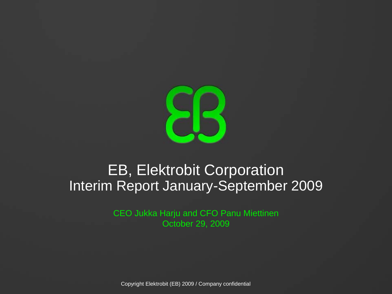

### EB, Elektrobit Corporation Interim Report January-September 2009

CEO Jukka Harju and CFO Panu Miettinen October 29, 2009

Copyright Elektrobit (EB) 2009 / Company confidential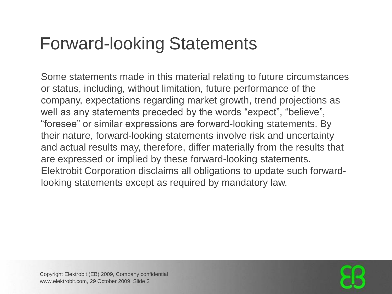## Forward-looking Statements

Some statements made in this material relating to future circumstances or status, including, without limitation, future performance of the company, expectations regarding market growth, trend projections as well as any statements preceded by the words "expect", "believe", "foresee" or similar expressions are forward-looking statements. By their nature, forward-looking statements involve risk and uncertainty and actual results may, therefore, differ materially from the results that are expressed or implied by these forward-looking statements. Elektrobit Corporation disclaims all obligations to update such forwardlooking statements except as required by mandatory law.

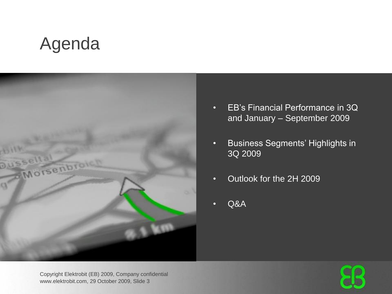## Agenda



- EB's Financial Performance in 3Q and January – September 2009
- Business Segments' Highlights in 3Q 2009
- Outlook for the 2H 2009
- Q&A

Copyright Elektrobit (EB) 2009, Company confidential www.elektrobit.com, 29 October 2009, Slide 3

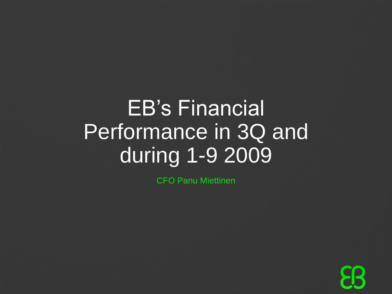# EB's Financial Performance in 3Q and during 1-9 2009

CFO Panu Miettinen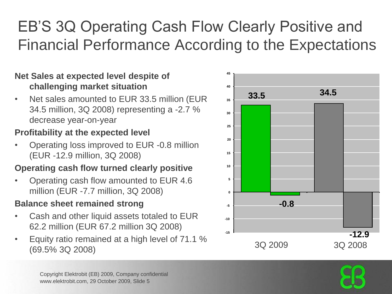### EB'S 3Q Operating Cash Flow Clearly Positive and Financial Performance According to the Expectations

### **Net Sales at expected level despite of challenging market situation**

• Net sales amounted to EUR 33.5 million (EUR 34.5 million, 3Q 2008) representing a -2.7 % decrease year-on-year

### **Profitability at the expected level**

• Operating loss improved to EUR -0.8 million (EUR -12.9 million, 3Q 2008)

### **Operating cash flow turned clearly positive**

• Operating cash flow amounted to EUR 4.6 million (EUR -7.7 million, 3Q 2008)

### **Balance sheet remained strong**

- Cash and other liquid assets totaled to EUR 62.2 million (EUR 67.2 million 3Q 2008)
- Equity ratio remained at a high level of 71.1 % Liquity ratio remained at a riight lover of Fig. 1.3.30 2009 3Q 2008<br>(69.5% 3Q 2008)



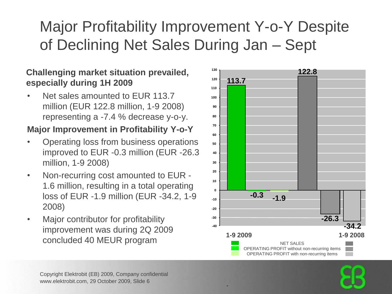### Major Profitability Improvement Y-o-Y Despite of Declining Net Sales During Jan – Sept

### **Challenging market situation prevailed, 122.8 especially during 1H 2009**

Net sales amounted to EUR 113.7 million (EUR 122.8 million, 1-9 2008) representing a -7.4 % decrease y-o-y.

### **Major Improvement in Profitability Y-o-Y**

- Operating loss from business operations improved to EUR -0.3 million (EUR -26.3 million, 1-9 2008)
- Non-recurring cost amounted to EUR 1.6 million, resulting in a total operating loss of EUR -1.9 million (EUR -34.2, 1-9 2008)
- Major contributor for profitability improvement was during 2Q 2009 concluded 40 MEUR program



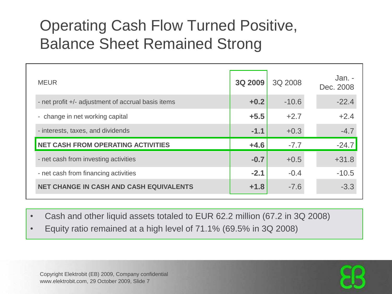### Operating Cash Flow Turned Positive, Balance Sheet Remained Strong

| <b>MEUR</b>                                        | <b>3Q 2009</b> | 3Q 2008 | Jan. -<br>Dec. 2008 |
|----------------------------------------------------|----------------|---------|---------------------|
| - net profit +/- adjustment of accrual basis items | $+0.2$         | $-10.6$ | $-22.4$             |
| - change in net working capital                    | $+5.5$         | $+2.7$  | $+2.4$              |
| - interests, taxes, and dividends                  | $-1.1$         | $+0.3$  | $-4.7$              |
| NET CASH FROM OPERATING ACTIVITIES                 | $+4.6$         | $-7.7$  | $-24.7$             |
| - net cash from investing activities               | $-0.7$         | $+0.5$  | $+31.8$             |
| - net cash from financing activities               | $-2.1$         | $-0.4$  | $-10.5$             |
| <b>NET CHANGE IN CASH AND CASH EQUIVALENTS</b>     | $+1.8$         | $-7.6$  | $-3.3$              |

• Cash and other liquid assets totaled to EUR 62.2 million (67.2 in 3Q 2008)

• Equity ratio remained at a high level of 71.1% (69.5% in 3Q 2008)

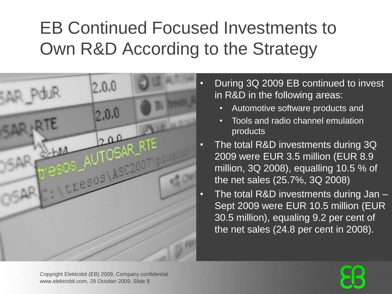## EB Continued Focused Investments to Own R&D According to the Strategy



- During 3Q 2009 EB continued to invest in R&D in the following areas:
	- Automotive software products and
	- Tools and radio channel emulation products
	- The total R&D investments during 3Q 2009 were EUR 3.5 million (EUR 8.9 million, 3Q 2008), equalling 10.5 % of the net sales (25.7%, 3Q 2008)
- The total R&D investments during Jan Sept 2009 were EUR 10.5 million (EUR 30.5 million), equaling 9.2 per cent of the net sales (24.8 per cent in 2008).

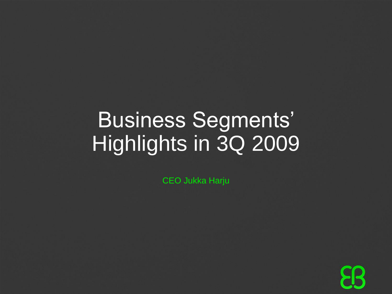# Business Segments' Highlights in 3Q 2009

CEO Jukka Harju

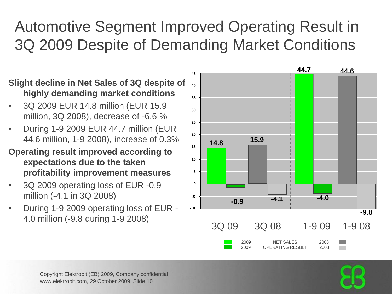### Automotive Segment Improved Operating Result in 3Q 2009 Despite of Demanding Market Conditions

### **Slight decline in Net Sales of 3Q despite of highly demanding market conditions**

- 3Q 2009 EUR 14.8 million (EUR 15.9 million, 3Q 2008), decrease of -6.6 %
- During 1-9 2009 EUR 44.7 million (EUR 44.6 million, 1-9 2008), increase of 0.3%
- **Operating result improved according to expectations due to the taken profitability improvement measures**
- 3Q 2009 operating loss of EUR -0.9 million (-4.1 in 3Q 2008)
- During 1-9 2009 operating loss of EUR 4.0 million (-9.8 during 1-9 2008)





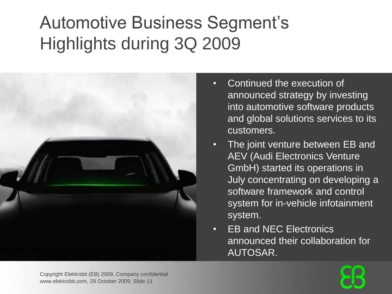## Automotive Business Segment's Highlights during 3Q 2009



- Continued the execution of announced strategy by investing into automotive software products and global solutions services to its customers.
- The joint venture between EB and AEV (Audi Electronics Venture GmbH) started its operations in July concentrating on developing a software framework and control system for in-vehicle infotainment system.
- **EB and NEC Electronics** announced their collaboration for AUTOSAR.

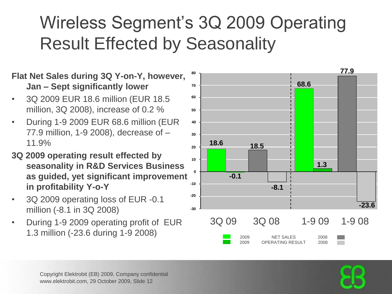## Wireless Segment's 3Q 2009 Operating Result Effected by Seasonality

#### **Flat Net Sales during 3Q Y-on-Y, however, Jan – Sept significantly lower**

- 3Q 2009 EUR 18.6 million (EUR 18.5 million, 3Q 2008), increase of 0.2 %
- During 1-9 2009 EUR 68.6 million (EUR 77.9 million, 1-9 2008), decrease of – 11.9%
- **3Q 2009 operating result effected by seasonality in R&D Services Business as guided, yet significant improvement in profitability Y-o-Y**
- 3Q 2009 operating loss of EUR -0.1 million (-8.1 in 3Q 2008)
- During 1-9 2009 operating profit of EUR 1.3 million (-23.6 during 1-9 2008)



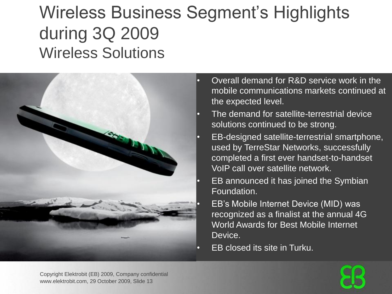## Wireless Business Segment's Highlights during 3Q 2009 Wireless Solutions



- Overall demand for R&D service work in the mobile communications markets continued at the expected level.
- The demand for satellite-terrestrial device solutions continued to be strong.
- EB-designed satellite-terrestrial smartphone, used by TerreStar Networks, successfully completed a first ever handset-to-handset VoIP call over satellite network.
	- EB announced it has joined the Symbian Foundation.
		- EB's Mobile Internet Device (MID) was recognized as a finalist at the annual 4G World Awards for Best Mobile Internet Device.
- EB closed its site in Turku.

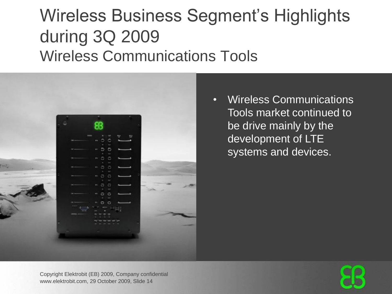## Wireless Business Segment's Highlights during 3Q 2009 Wireless Communications Tools



• Wireless Communications Tools market continued to be drive mainly by the development of LTE systems and devices.

Copyright Elektrobit (EB) 2009, Company confidential www.elektrobit.com, 29 October 2009, Slide 14

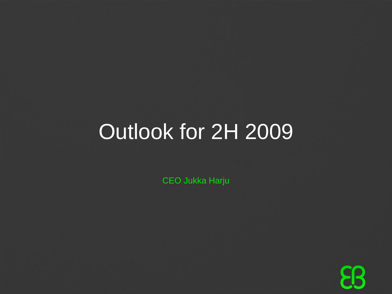# Outlook for 2H 2009

CEO Jukka Harju

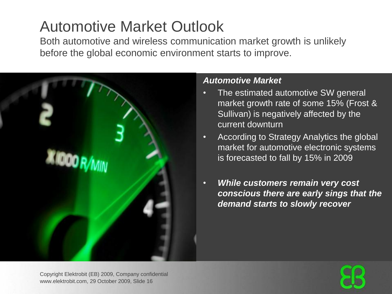### Automotive Market Outlook

Both automotive and wireless communication market growth is unlikely before the global economic environment starts to improve.



#### *Automotive Market*

- The estimated automotive SW general market growth rate of some 15% (Frost & Sullivan) is negatively affected by the current downturn
- According to Strategy Analytics the global market for automotive electronic systems is forecasted to fall by 15% in 2009
- *While customers remain very cost conscious there are early sings that the demand starts to slowly recover*

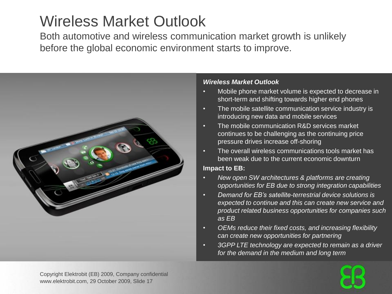### Wireless Market Outlook

Both automotive and wireless communication market growth is unlikely before the global economic environment starts to improve.



#### *Wireless Market Outlook*

- Mobile phone market volume is expected to decrease in short-term and shifting towards higher end phones
- The mobile satellite communication service industry is introducing new data and mobile services
- The mobile communication R&D services market continues to be challenging as the continuing price pressure drives increase off-shoring
- The overall wireless communications tools market has been weak due to the current economic downturn

#### **Impact to EB:**

- *New open SW architectures & platforms are creating opportunities for EB due to strong integration capabilities*
- *Demand for EB's satellite-terrestrial device solutions is expected to continue and this can create new service and product related business opportunities for companies such as EB*
- *OEMs reduce their fixed costs, and increasing flexibility can create new opportunities for partnering*
- *3GPP LTE technology are expected to remain as a driver for the demand in the medium and long term*

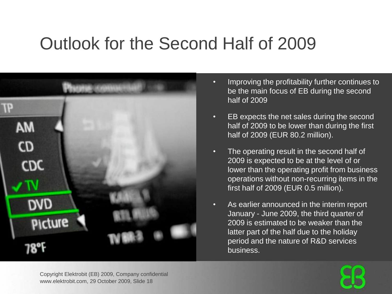## Outlook for the Second Half of 2009



- Improving the profitability further continues to be the main focus of EB during the second half of 2009
- EB expects the net sales during the second half of 2009 to be lower than during the first half of 2009 (EUR 80.2 million).
- The operating result in the second half of 2009 is expected to be at the level of or lower than the operating profit from business operations without non-recurring items in the first half of 2009 (EUR 0.5 million).
- As earlier announced in the interim report January - June 2009, the third quarter of 2009 is estimated to be weaker than the latter part of the half due to the holiday period and the nature of R&D services business.

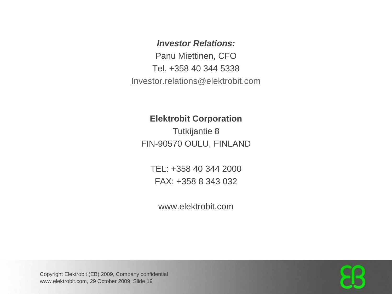#### *Investor Relations:*

Panu Miettinen, CFO Tel. +358 40 344 5338 [Investor.relations@elektrobit.com](mailto:Investor.relations@elektrobit.com)

#### **Elektrobit Corporation**

Tutkijantie 8 FIN-90570 OULU, FINLAND

TEL: +358 40 344 2000 FAX: +358 8 343 032

www.elektrobit.com